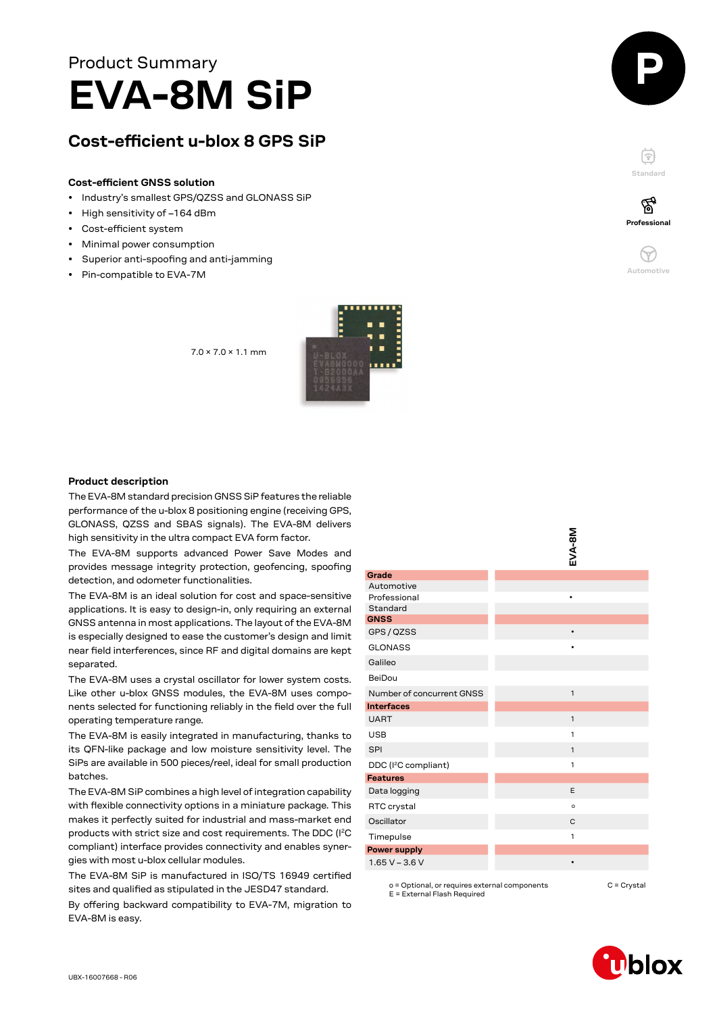# Product Summary **EVA-8M SiP**

# **Cost-efficient u-blox 8 GPS SiP**

#### **Cost-efficient GNSS solution**

- Industry's smallest GPS/QZSS and GLONASS SiP
- High sensitivity of –164 dBm
- Cost-efficient system
- Minimal power consumption
- Superior anti-spoofing and anti-jamming
- Pin-compatible to EVA-7M





F **Standard**



**Professional**

′ିବୁ

#### **Product description**

The EVA-8M standard precision GNSS SiP features the reliable performance of the u-blox 8 positioning engine (receiving GPS, GLONASS, QZSS and SBAS signals). The EVA-8M delivers high sensitivity in the ultra compact EVA form factor.

7.0 × 7.0 × 1.1 mm

The EVA-8M supports advanced Power Save Modes and provides message integrity protection, geofencing, spoofing detection, and odometer functionalities.

The EVA-8M is an ideal solution for cost and space-sensitive applications. It is easy to design-in, only requiring an external GNSS antenna in most applications. The layout of the EVA-8M is especially designed to ease the customer's design and limit near field interferences, since RF and digital domains are kept separated.

The EVA-8M uses a crystal oscillator for lower system costs. Like other u-blox GNSS modules, the EVA-8M uses components selected for functioning reliably in the field over the full operating temperature range.

The EVA-8M is easily integrated in manufacturing, thanks to its QFN-like package and low moisture sensitivity level. The SiPs are available in 500 pieces/reel, ideal for small production batches.

The EVA-8M SiP combines a high level of integration capability with flexible connectivity options in a miniature package. This makes it perfectly suited for industrial and mass-market end products with strict size and cost requirements. The DDC (I<sup>2</sup>C compliant) interface provides connectivity and enables synergies with most u-blox cellular modules.

The EVA-8M SiP is manufactured in ISO/TS 16949 certified sites and qualified as stipulated in the JESD47 standard.

By offering backward compatibility to EVA-7M, migration to EVA-8M is easy.

|                                  | EVA-81       |
|----------------------------------|--------------|
|                                  |              |
| Grade                            |              |
| Automotive                       |              |
| Professional                     |              |
| Standard<br><b>GNSS</b>          |              |
| GPS / QZSS                       |              |
|                                  |              |
| <b>GLONASS</b>                   | ٠            |
| Galileo                          |              |
| BeiDou                           |              |
| Number of concurrent GNSS        | $\mathbf{1}$ |
| <b>Interfaces</b>                |              |
| <b>UART</b>                      | $\mathbf{1}$ |
| <b>USB</b>                       | 1            |
| SPI                              | $\mathbf{1}$ |
| DDC (I <sup>2</sup> C compliant) | 1            |
| <b>Features</b>                  |              |
| Data logging                     | E            |
| RTC crystal                      | $\circ$      |
| Oscillator                       | C            |
| Timepulse                        | 1            |
| <b>Power supply</b>              |              |
| $1.65 V - 3.6 V$                 |              |
|                                  |              |

**s** 

o = Optional, or requires external components E = External Flash Required C = Crystal